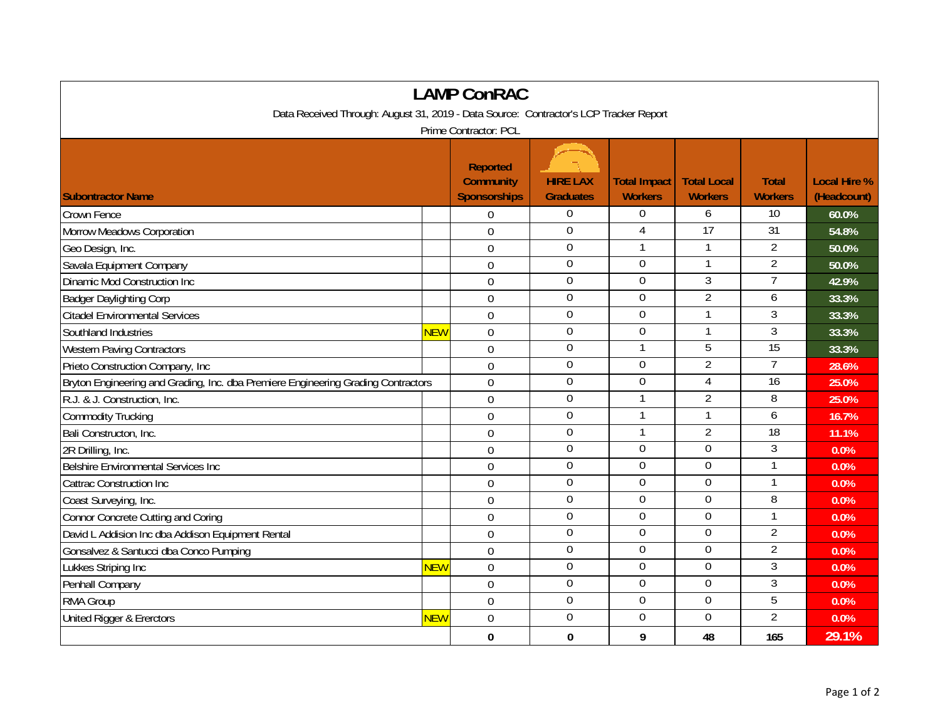| <b>LAMP ConRAC</b>                                                                    |            |                                                            |                                     |                                       |                                      |                                |                                    |  |  |  |  |  |
|---------------------------------------------------------------------------------------|------------|------------------------------------------------------------|-------------------------------------|---------------------------------------|--------------------------------------|--------------------------------|------------------------------------|--|--|--|--|--|
| Data Received Through: August 31, 2019 - Data Source: Contractor's LCP Tracker Report |            |                                                            |                                     |                                       |                                      |                                |                                    |  |  |  |  |  |
| Prime Contractor: PCL                                                                 |            |                                                            |                                     |                                       |                                      |                                |                                    |  |  |  |  |  |
| <b>Subontractor Name</b>                                                              |            | <b>Reported</b><br><b>Community</b><br><b>Sponsorships</b> | <b>HIRE LAX</b><br><b>Graduates</b> | <b>Total Impact</b><br><b>Workers</b> | <b>Total Local</b><br><b>Workers</b> | <b>Total</b><br><b>Workers</b> | <b>Local Hire %</b><br>(Headcount) |  |  |  |  |  |
| Crown Fence                                                                           |            | $\mathbf 0$                                                | 0                                   | 0                                     | 6                                    | 10                             | 60.0%                              |  |  |  |  |  |
| Morrow Meadows Corporation                                                            |            | $\overline{0}$                                             | $\mathbf 0$                         | 4                                     | 17                                   | 31                             | 54.8%                              |  |  |  |  |  |
| Geo Design, Inc.                                                                      |            | $\mathbf 0$                                                | $\mathbf 0$                         | 1                                     |                                      | $\overline{2}$                 | 50.0%                              |  |  |  |  |  |
| Savala Equipment Company                                                              |            | $\overline{0}$                                             | $\boldsymbol{0}$                    | $\mathbf 0$                           | $\mathbf{1}$                         | $\overline{2}$                 | 50.0%                              |  |  |  |  |  |
| Dinamic Mod Construction Inc                                                          |            | $\overline{0}$                                             | $\mathbf 0$                         | $\overline{0}$                        | $\mathfrak{Z}$                       | $\overline{7}$                 | 42.9%                              |  |  |  |  |  |
| <b>Badger Daylighting Corp</b>                                                        |            | $\mathbf 0$                                                | $\mathbf 0$                         | $\Omega$                              | $\overline{2}$                       | 6                              | 33.3%                              |  |  |  |  |  |
| <b>Citadel Environmental Services</b>                                                 |            | $\overline{0}$                                             | $\boldsymbol{0}$                    | $\boldsymbol{0}$                      |                                      | 3                              | 33.3%                              |  |  |  |  |  |
| Southland Industries                                                                  | NEW        | $\mathbf 0$                                                | $\overline{0}$                      | $\overline{0}$                        | $\mathbf{1}$                         | 3                              | 33.3%                              |  |  |  |  |  |
| <b>Western Paving Contractors</b>                                                     |            | $\Omega$                                                   | $\mathbf{0}$                        | 1                                     | 5                                    | $\overline{15}$                | 33.3%                              |  |  |  |  |  |
| Prieto Construction Company, Inc                                                      |            | 0                                                          | $\overline{0}$                      | $\Omega$                              | $\overline{2}$                       | $\overline{7}$                 | 28.6%                              |  |  |  |  |  |
| Bryton Engineering and Grading, Inc. dba Premiere Engineering Grading Contractors     |            | $\mathbf 0$                                                | $\mathbf 0$                         | 0                                     | $\overline{4}$                       | $\overline{16}$                | 25.0%                              |  |  |  |  |  |
| R.J. & J. Construction, Inc.                                                          |            | $\mathbf 0$                                                | $\mathbf 0$                         | $\mathbf{1}$                          | $\overline{2}$                       | 8                              | 25.0%                              |  |  |  |  |  |
| <b>Commodity Trucking</b>                                                             |            | $\mathbf 0$                                                | $\boldsymbol{0}$                    | 1                                     | $\mathbf{1}$                         | 6                              | 16.7%                              |  |  |  |  |  |
| Bali Constructon, Inc.                                                                |            | $\overline{0}$                                             | $\boldsymbol{0}$                    | 1                                     | $\overline{2}$                       | 18                             | 11.1%                              |  |  |  |  |  |
| 2R Drilling, Inc.                                                                     |            | $\overline{0}$                                             | $\overline{0}$                      | $\overline{0}$                        | $\overline{0}$                       | $\overline{3}$                 | 0.0%                               |  |  |  |  |  |
| <b>Belshire Environmental Services Inc</b>                                            |            | $\overline{0}$                                             | $\mathbf 0$                         | $\overline{0}$                        | $\overline{0}$                       | $\mathbf{1}$                   | 0.0%                               |  |  |  |  |  |
| <b>Cattrac Construction Inc</b>                                                       |            | $\overline{0}$                                             | $\overline{0}$                      | 0                                     | $\overline{0}$                       | $\mathbf{1}$                   | 0.0%                               |  |  |  |  |  |
| Coast Surveying, Inc.                                                                 |            | $\mathbf 0$                                                | $\mathbf 0$                         | $\mathbf 0$                           | $\mathbf 0$                          | 8                              | 0.0%                               |  |  |  |  |  |
| <b>Connor Concrete Cutting and Coring</b>                                             |            | 0                                                          | $\mathbf 0$                         | $\overline{0}$                        | $\mathbf 0$                          |                                | 0.0%                               |  |  |  |  |  |
| David L Addision Inc dba Addison Equipment Rental                                     |            | $\overline{0}$                                             | $\overline{0}$                      | $\Omega$                              | $\overline{0}$                       | $\overline{2}$                 | 0.0%                               |  |  |  |  |  |
| Gonsalvez & Santucci dba Conco Pumping                                                |            | $\overline{0}$                                             | $\overline{0}$                      | 0                                     | 0                                    | $\overline{2}$                 | 0.0%                               |  |  |  |  |  |
| Lukkes Striping Inc                                                                   | NEW        | $\overline{0}$                                             | $\mathbf 0$                         | 0                                     | $\mathbf 0$                          | $\mathfrak{Z}$                 | 0.0%                               |  |  |  |  |  |
| Penhall Company                                                                       |            | 0                                                          | $\mathbf 0$                         | $\mathbf 0$                           | $\mathbf 0$                          | $\overline{3}$                 | 0.0%                               |  |  |  |  |  |
| RMA Group                                                                             |            | 0                                                          | $\mathbf 0$                         | $\mathbf 0$                           | $\mathbf 0$                          | 5                              | 0.0%                               |  |  |  |  |  |
| <b>United Rigger &amp; Ererctors</b>                                                  | <b>NEW</b> | $\overline{0}$                                             | $\overline{0}$                      | $\Omega$                              | $\overline{0}$                       | $\overline{2}$                 | 0.0%                               |  |  |  |  |  |
|                                                                                       |            | 0                                                          | 0                                   | 9                                     | 48                                   | 165                            | 29.1%                              |  |  |  |  |  |